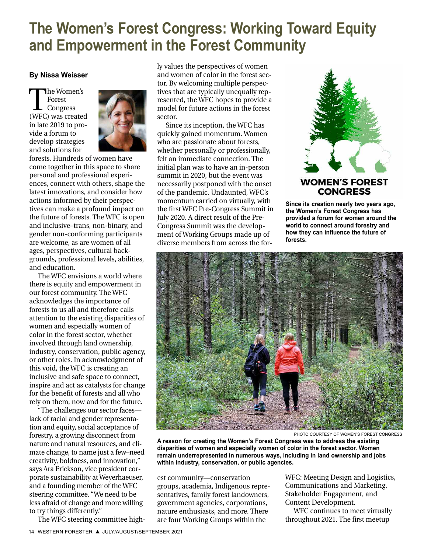## **The Women's Forest Congress: Working Toward Equity and Empowerment in the Forest Community**

#### **By Nissa Weisser**

The Women's<br>Forest<br>(WFC) was created Forest Congress in late 2019 to provide a forum to develop strategies and solutions for



forests. Hundreds of women have come together in this space to share personal and professional experiences, connect with others, shape the latest innovations, and consider how actions informed by their perspectives can make a profound impact on the future of forests. The WFC is open and inclusive–trans, non-binary, and gender non-conforming participants are welcome, as are women of all ages, perspectives, cultural backgrounds, professional levels, abilities, and education.

The WFC envisions a world where there is equity and empowerment in our forest community. The WFC acknowledges the importance of forests to us all and therefore calls attention to the existing disparities of women and especially women of color in the forest sector, whether involved through land ownership, industry, conservation, public agency, or other roles. In acknowledgment of this void, the WFC is creating an inclusive and safe space to connect, inspire and act as catalysts for change for the benefit of forests and all who rely on them, now and for the future.

"The challenges our sector faces lack of racial and gender representation and equity, social acceptance of forestry, a growing disconnect from nature and natural resources, and climate change, to name just a few–need creativity, boldness, and innovation," says Ara Erickson, vice president corporate sustainability at Weyerhaeuser, and a founding member of the WFC steering committee. "We need to be less afraid of change and more willing to try things differently."

The WFC steering committee high-

ly values the perspectives of women and women of color in the forest sector. By welcoming multiple perspectives that are typically unequally represented, the WFC hopes to provide a model for future actions in the forest sector.

Since its inception, the WFC has quickly gained momentum. Women who are passionate about forests, whether personally or professionally, felt an immediate connection. The initial plan was to have an in-person summit in 2020, but the event was necessarily postponed with the onset of the pandemic. Undaunted, WFC's momentum carried on virtually, with the first WFC Pre-Congress Summit in July 2020. A direct result of the Pre-Congress Summit was the development of Working Groups made up of diverse members from across the for-



**Since its creation nearly two years ago, the Women's Forest Congress has provided a forum for women around the world to connect around forestry and how they can influence the future of forests.**



PHOTO COURTESY OF WOMEN'S FOREST CONGRESS

**A reason for creating the Women's Forest Congress was to address the existing disparities of women and especially women of color in the forest sector. Women remain underrepresented in numerous ways, including in land ownership and jobs within industry, conservation, or public agencies.** 

est community—conservation groups, academia, Indigenous representatives, family forest landowners, government agencies, corporations, nature enthusiasts, and more. There are four Working Groups within the

WFC: Meeting Design and Logistics, Communications and Marketing, Stakeholder Engagement, and Content Development.

WFC continues to meet virtually throughout 2021. The first meetup